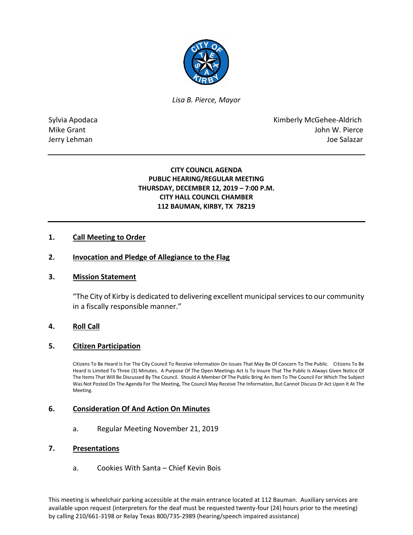

*Lisa B. Pierce, Mayor* 

Sylvia Apodaca **Kimberly McGehee-Aldrich** Mike Grant **Mike Grant** John W. Pierce Jerry Lehman Joe Salazar

## **CITY COUNCIL AGENDA PUBLIC HEARING/REGULAR MEETING THURSDAY, DECEMBER 12, 2019 – 7:00 P.M. CITY HALL COUNCIL CHAMBER 112 BAUMAN, KIRBY, TX 78219**

## **1. Call Meeting to Order**

## **2. Invocation and Pledge of Allegiance to the Flag**

## **3. Mission Statement**

"The City of Kirby is dedicated to delivering excellent municipal services to our community in a fiscally responsible manner."

## **4. Roll Call**

## **5. Citizen Participation**

Citizens To Be Heard Is For The City Council To Receive Information On Issues That May Be Of Concern To The Public. Citizens To Be Heard Is Limited To Three (3) Minutes. A Purpose Of The Open Meetings Act Is To Insure That The Public Is Always Given Notice Of The Items That Will Be Discussed By The Council. Should A Member Of The Public Bring An Item To The Council For Which The Subject Was Not Posted On The Agenda For The Meeting, The Council May Receive The Information, But Cannot Discuss Or Act Upon It At The Meeting.

## **6. Consideration Of And Action On Minutes**

a. Regular Meeting November 21, 2019

#### **7. Presentations**

a. Cookies With Santa – Chief Kevin Bois

This meeting is wheelchair parking accessible at the main entrance located at 112 Bauman. Auxiliary services are available upon request (interpreters for the deaf must be requested twenty-four (24) hours prior to the meeting) by calling 210/661-3198 or Relay Texas 800/735-2989 (hearing/speech impaired assistance)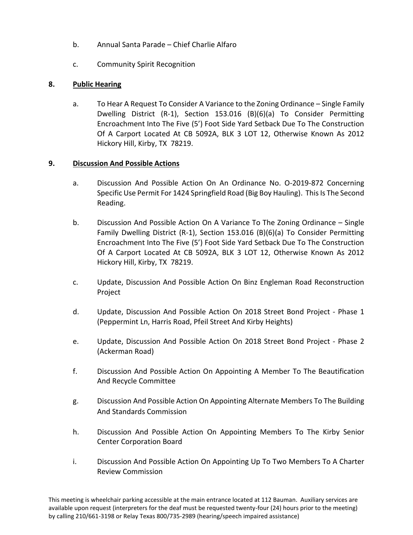- b. Annual Santa Parade Chief Charlie Alfaro
- c. Community Spirit Recognition

# **8. Public Hearing**

a. To Hear A Request To Consider A Variance to the Zoning Ordinance – Single Family Dwelling District (R-1), Section 153.016 (B)(6)(a) To Consider Permitting Encroachment Into The Five (5') Foot Side Yard Setback Due To The Construction Of A Carport Located At CB 5092A, BLK 3 LOT 12, Otherwise Known As 2012 Hickory Hill, Kirby, TX 78219.

# **9. Discussion And Possible Actions**

- a. Discussion And Possible Action On An Ordinance No. O-2019-872 Concerning Specific Use Permit For 1424 Springfield Road (Big Boy Hauling). This Is The Second Reading.
- b. Discussion And Possible Action On A Variance To The Zoning Ordinance Single Family Dwelling District (R-1), Section 153.016 (B)(6)(a) To Consider Permitting Encroachment Into The Five (5') Foot Side Yard Setback Due To The Construction Of A Carport Located At CB 5092A, BLK 3 LOT 12, Otherwise Known As 2012 Hickory Hill, Kirby, TX 78219.
- c. Update, Discussion And Possible Action On Binz Engleman Road Reconstruction Project
- d. Update, Discussion And Possible Action On 2018 Street Bond Project Phase 1 (Peppermint Ln, Harris Road, Pfeil Street And Kirby Heights)
- e. Update, Discussion And Possible Action On 2018 Street Bond Project Phase 2 (Ackerman Road)
- f. Discussion And Possible Action On Appointing A Member To The Beautification And Recycle Committee
- g. Discussion And Possible Action On Appointing Alternate Members To The Building And Standards Commission
- h. Discussion And Possible Action On Appointing Members To The Kirby Senior Center Corporation Board
- i. Discussion And Possible Action On Appointing Up To Two Members To A Charter Review Commission

This meeting is wheelchair parking accessible at the main entrance located at 112 Bauman. Auxiliary services are available upon request (interpreters for the deaf must be requested twenty-four (24) hours prior to the meeting) by calling 210/661-3198 or Relay Texas 800/735-2989 (hearing/speech impaired assistance)